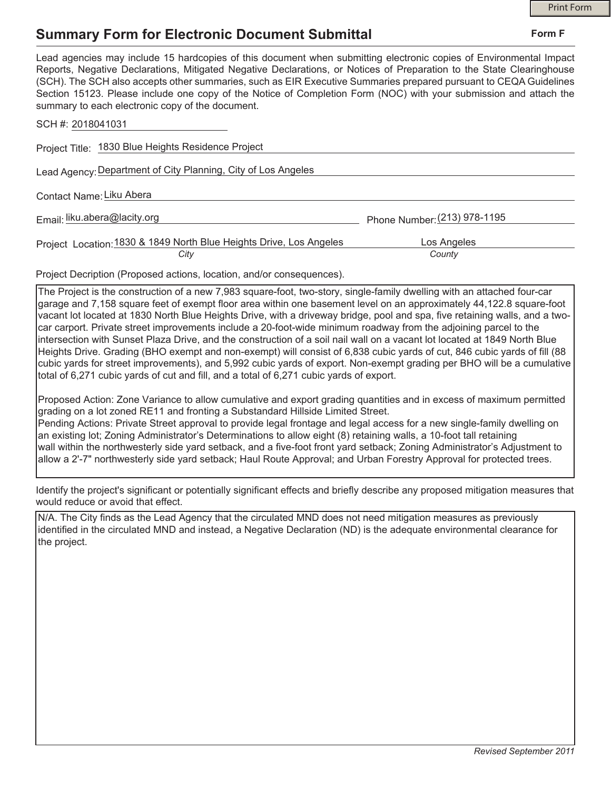## **Summary Form for Electronic Document Submittal**

| Lead agencies may include 15 hardcopies of this document when submitting electronic copies of Environmental Impact<br>Reports, Negative Declarations, Mitigated Negative Declarations, or Notices of Preparation to the State Clearinghouse<br>(SCH). The SCH also accepts other summaries, such as EIR Executive Summaries prepared pursuant to CEQA Guidelines<br>Section 15123. Please include one copy of the Notice of Completion Form (NOC) with your submission and attach the<br>summary to each electronic copy of the document. |                              |
|-------------------------------------------------------------------------------------------------------------------------------------------------------------------------------------------------------------------------------------------------------------------------------------------------------------------------------------------------------------------------------------------------------------------------------------------------------------------------------------------------------------------------------------------|------------------------------|
| SCH #: 2018041031                                                                                                                                                                                                                                                                                                                                                                                                                                                                                                                         |                              |
| Project Title: 1830 Blue Heights Residence Project                                                                                                                                                                                                                                                                                                                                                                                                                                                                                        |                              |
| Lead Agency: Department of City Planning, City of Los Angeles                                                                                                                                                                                                                                                                                                                                                                                                                                                                             |                              |
| Contact Name: Liku Abera                                                                                                                                                                                                                                                                                                                                                                                                                                                                                                                  |                              |
| Email: liku.abera@lacity.org                                                                                                                                                                                                                                                                                                                                                                                                                                                                                                              | Phone Number: (213) 978-1195 |
| Project Location: 1830 & 1849 North Blue Heights Drive, Los Angeles                                                                                                                                                                                                                                                                                                                                                                                                                                                                       | Los Angeles                  |
| City                                                                                                                                                                                                                                                                                                                                                                                                                                                                                                                                      | County                       |

Project Decription (Proposed actions, location, and/or consequences).

The Project is the construction of a new 7,983 square-foot, two-story, single-family dwelling with an attached four-car garage and 7,158 square feet of exempt floor area within one basement level on an approximately 44,122.8 square-foot vacant lot located at 1830 North Blue Heights Drive, with a driveway bridge, pool and spa, five retaining walls, and a twocar carport. Private street improvements include a 20-foot-wide minimum roadway from the adjoining parcel to the intersection with Sunset Plaza Drive, and the construction of a soil nail wall on a vacant lot located at 1849 North Blue Heights Drive. Grading (BHO exempt and non-exempt) will consist of 6,838 cubic yards of cut, 846 cubic yards of fill (88 cubic yards for street improvements), and 5,992 cubic yards of export. Non-exempt grading per BHO will be a cumulative total of 6,271 cubic yards of cut and fill, and a total of 6,271 cubic yards of export.

Proposed Action: Zone Variance to allow cumulative and export grading quantities and in excess of maximum permitted grading on a lot zoned RE11 and fronting a Substandard Hillside Limited Street. Pending Actions: Private Street approval to provide legal frontage and legal access for a new single-family dwelling on an existing lot; Zoning Administrator's Determinations to allow eight (8) retaining walls, a 10-foot tall retaining wall within the northwesterly side yard setback, and a five-foot front yard setback; Zoning Administrator's Adjustment to allow a 2'-7" northwesterly side yard setback; Haul Route Approval; and Urban Forestry Approval for protected trees.

Identify the project's significant or potentially significant effects and briefly describe any proposed mitigation measures that would reduce or avoid that effect.

N/A. The City finds as the Lead Agency that the circulated MND does not need mitigation measures as previously identified in the circulated MND and instead, a Negative Declaration (ND) is the adequate environmental clearance for the project.

*Revised September 2011*